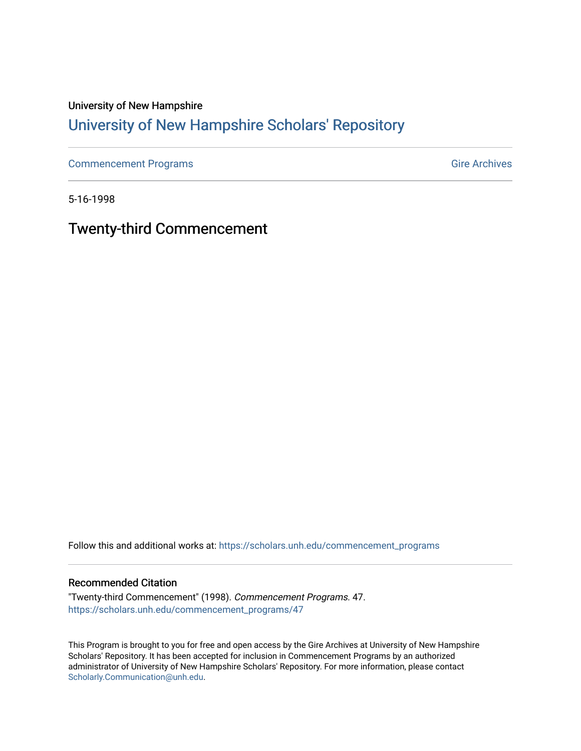# University of New Hampshire [University of New Hampshire Scholars' Repository](https://scholars.unh.edu/)

[Commencement Programs](https://scholars.unh.edu/commencement_programs) Gire Archives

5-16-1998

Twenty-third Commencement

Follow this and additional works at: [https://scholars.unh.edu/commencement\\_programs](https://scholars.unh.edu/commencement_programs?utm_source=scholars.unh.edu%2Fcommencement_programs%2F47&utm_medium=PDF&utm_campaign=PDFCoverPages) 

#### Recommended Citation

"Twenty-third Commencement" (1998). Commencement Programs. 47. [https://scholars.unh.edu/commencement\\_programs/47](https://scholars.unh.edu/commencement_programs/47?utm_source=scholars.unh.edu%2Fcommencement_programs%2F47&utm_medium=PDF&utm_campaign=PDFCoverPages)

This Program is brought to you for free and open access by the Gire Archives at University of New Hampshire Scholars' Repository. It has been accepted for inclusion in Commencement Programs by an authorized administrator of University of New Hampshire Scholars' Repository. For more information, please contact [Scholarly.Communication@unh.edu](mailto:Scholarly.Communication@unh.edu).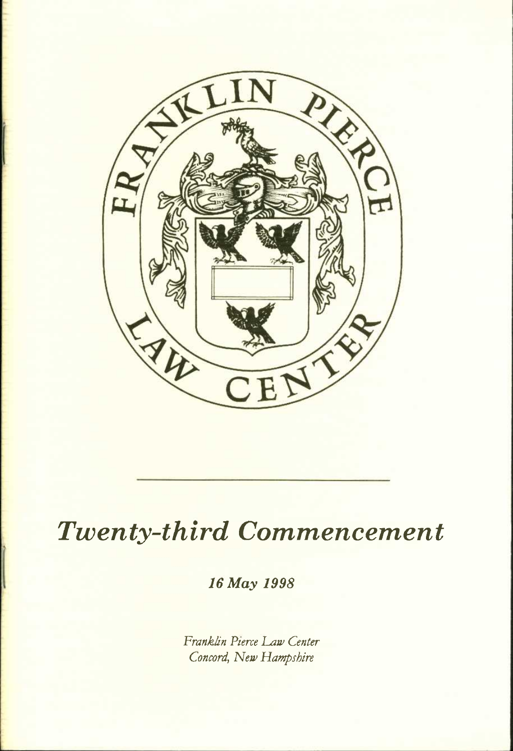

# *Twenty-third Commencement*

*16 May 1998* 

*Franklin Pierce Law Center Concord, New Hampshire*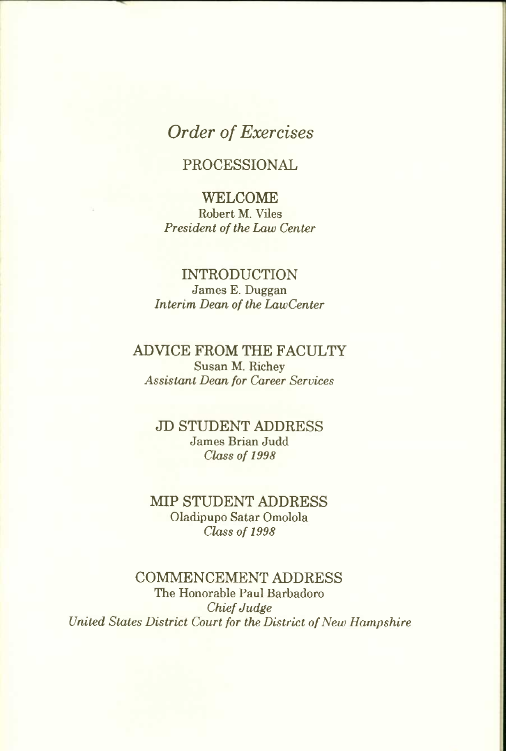## *Order of Exercises*

## **PROCESSIONAL**

**WELCOME**  Robert M. Viles *President of the Law Center* 

#### **INTRODUCTION**  James E. Duggan *Interim Dean of the LawCenter*

#### **ADVICE FROM THE FACULTY**  Susan M. Richey *Assistant Dean for Career Services*

**JD STUDENT ADDRESS**  James Brian Judd *Class of 1998* 

**MIP STUDENT ADDRESS**  Oladipupo Satar Omolola *Class of 1998* 

#### **COMMENCEMENT ADDRESS**  The Honorable Paul Barbadoro *Chief Judge United States District Court for the District of New Hampshire*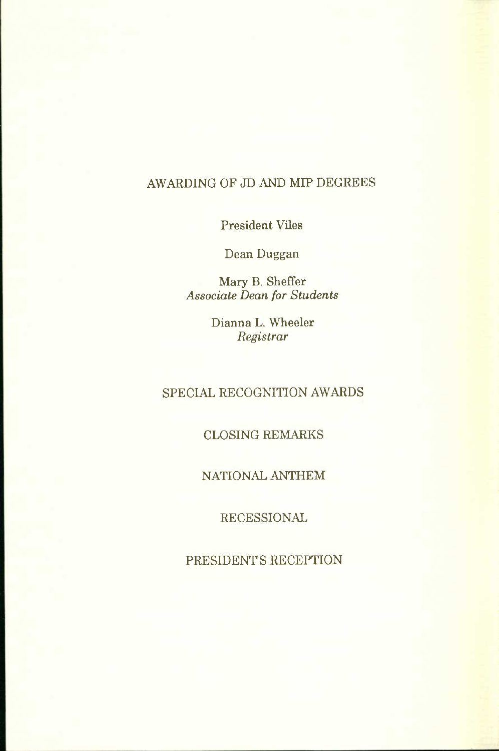## AWARDING OF JD AND MIP DEGREES

President Viles

Dean Duggan

Mary B. Sheffer *Associate Dean for Students* 

> Dianna L. Wheeler *Registrar*

### SPECIAL RECOGNITION AWARDS

#### CLOSING REMARKS

#### NATIONAL ANTHEM

RECESSIONAL

PRESIDENTS RECEPTION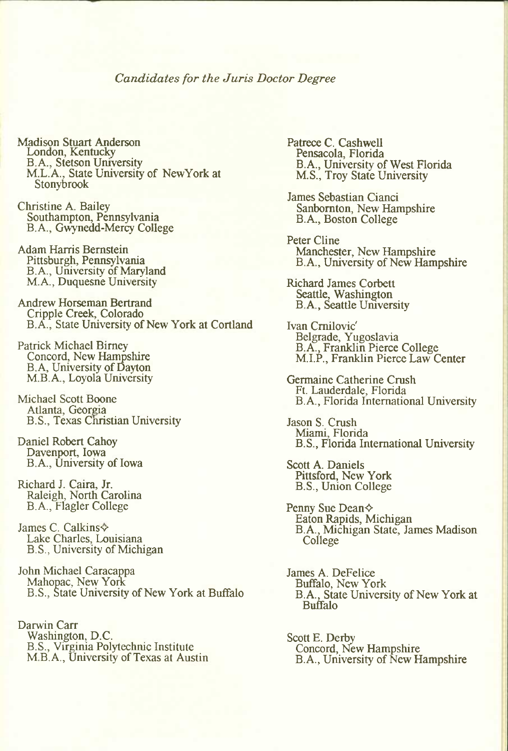#### *Candidates for the Juris Doctor Degree*

- Madison Stuart Anderson London, Kentucky B.A., Stetson University M.L.A., State University of NewYorkat Stonybrook
- Christine A. Bailey Southampton, Pennsylvania B.A., Gwynedd-Mercy College
- Adam Harris Bernstein Pittsburgh, Pennsylvania B.A., University of Maryland M.A., Duquesne University
- Andrew Horseman Bertrand Cripple Creek, Colorado B.A., State University of New York at Cortland

Patrick Michael Bimey Concord, New Hampshire BA, University of Dayton M.B. A., Loyola University

Michael Scott Boone Atlanta, Georgia B.S., Texas Christian University

Daniel Robert Cahoy Davenport, Iowa B.A., University of Iowa

Richard J. Caira, Jr. Raleigh, North Carolina B. A., Flagler College

James C. Calkins $\diamond$ Lake Charles, Louisiana B.S., University of Michigan

John Michael Caracappa Mahopac, New York B.S., State University of New York at Buffalo

Darwin Carr Washington, D.C. B.S., Virginia Polytechnic Institute M.B.A., University of Texas at Austin Patrece C. Cashwell Pensacola, Florida B.A., University of West Florida M.S., Troy State University

James Sebastian Cianci Sanbornton, New Hampshire B.A., Boston College

Peter Cline Manchester, New Hampshire B.A., University of New Hampshire

Richard James Corbett Seattle, Washington B.A., Seattle Umversity

Ivan Cmilovic' Belgrade, Yugoslavia B.A., Franklin Pierce College M.I.P., Franklin Pierce Law Center

Germaine Catherine Crush Ft. Lauderdale, Florida B.A., Florida International University

Jason S. Crush Miami, Florida B.S., Florida International University

Scott A. Daniels Pittsford, New York B.S., Union College

Penny Sue Dean^ Eaton Rapids, Michigan B.A., Michigan State, James Madison College

James A. DeFelice Buffalo, New York B.A., State University of New York at Buffalo

Scott E. Derby Concord, New Hampshire B.A., University of New Hampshire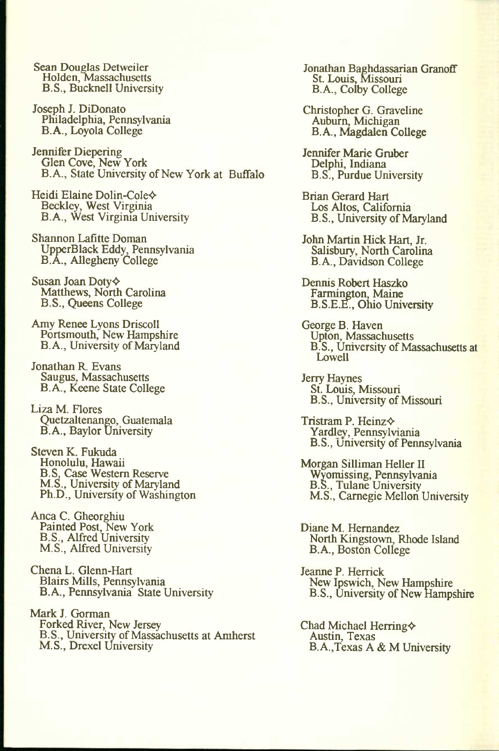Sean Douglas Detweiler Holden, Massachusetts B.S., Bucknell University

Joseph J. DiDonato Pniladelphia, Pennsylvania B.A., Loyola College

Jennifer Diepering Glen Cove, New York B.A., State University of New York at Buffalo

Heidi Elaine Dolin-Cole^ Beckley, West Virginia B.A., West Virginia University

Shannon Lafitte Doman UpperBlack Eddy, Pennsylvania B.A., Allegheny College

Susan Joan Doty $\diamond$ Matthews, North Carolina B.S., Queens College

Amy Renee Lyons Driscoll Portsmouth, New Hampshire B.A., University of Maryland

Jonathan R. Evans Saugus, Massachusetts B.A., Keene State College

Liza M. Flores Quetzaltenango, Guatemala B. A., Baylor University

Steven K. Fukuda Honolulu, Hawaii B.S, Case Western Reserve M.S., University of Maryland Ph.D., University of Washington

Anca C. Gheorghiu Painted Post, New York B.S., Alfred University M.S., Alfred University

Chena L. Glenn-Hart Blairs Mills, Pennsylvania B.A., Pennsylvania State University

Mark J. Gorman Forked River, New Jersey B.S., University of Massachusetts at Amherst M.S., Drexel University

Jonathan Baghdassarian Granoff St. Louis, Missouri B.A., Colby College

Christopher G. Graveline Auburn, Michigan B.A., Magdalen College

Jennifer Marie Gruber Delphi, Indiana B.S., Purdue Umversity

Brian Gerard Hart Los Altos, California B.S., University of Maryland

John Martin Hick Hart, Jr. Salisbury, North Carolina B.A., Davidson College

Dennis Robert Haszko Farmington, Maine B.S.E.&, Ohio University

George B. Haven Upton, Massachusetts B.S., Umversity of Massachusetts at Lowell

Jerry Haynes St. Louis, Missouri B.S., University of Missouri

Tristram P. Heinz $\diamond$ Yardley, Pennsylviania B.S., University of Pennsylvania

Morgan Silliman Heller II Wyomissing, Pennsylvania B.S., Tulane University M.S., Carnegie Mellon University

Diane M. Hernandez North Kingstown, Rhode Island B.A., Boston College

Jeanne P. Herrick New Ipswich, New Hampshire B.S., University of New Hampshire

Chad Michael Herring $\diamond$ Austin, Texas B.A.,Texas A & M University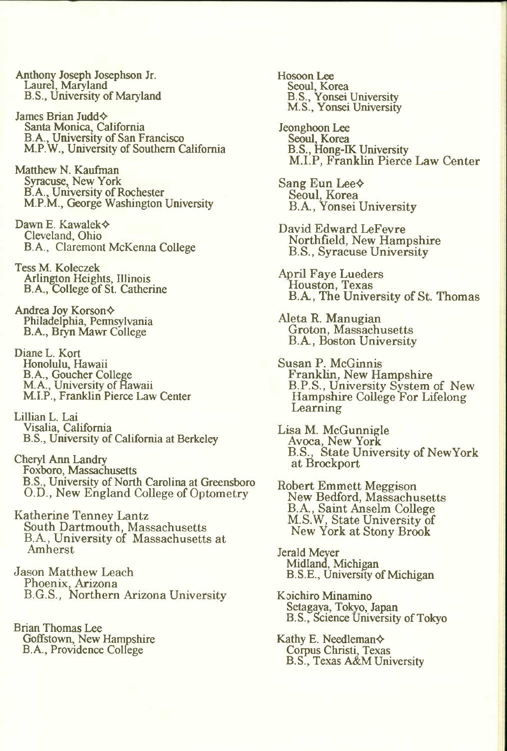Anthony Joseph Josephson Jr. Laurel, Maryland B.S., University of Maryland

James Brian Judd $\diamond$ Santa Monica, California B. A., University of San Francisco M.P.W., University of Southern California

Matthew N. Kaufman Syracuse, New York B.A., University of Rochester M.P.M., George Washington University

Dawn E. Kawalek^ Cleveland, Ohio B.A., Claremont McKerma College

Tess M. Koleczek Arlington Heights, Illinois B. A., College of St. Catherine

Andrea Joy Korson $\diamond$ Philadelphia, Permsylvania B.A., Biyn Mawr College

Diane L. Kort Honolulu, Hawaii B.A., Goucher College M.A., University of Hawaii M.I.P., Franklin Pierce Law Center

Lillian L. Lai Visalia, California B.S., University of California at Berkeley

Cheryl Ann Landiy Foxboro, Massachusetts B.S., University of North Carolina at Greensboro O.D., New England College of Optometry

Katherine Tenney Lantz South Dartmouth, Massachusetts B.A, University of Massachusetts at Amherst

Jason Matthew Leach Phoenix, Arizona B.G.S., Northern Arizona University

Brian Thomas Lee Goffstown, New Hampshire B.A., Providence College

Hosoon Lee Seoul, Korea B.S., Yonsei University M.S., Yonsei University

Jeonghoon Lee Seoul, Korea B.S., Hong-IK University M.I.P, Franklin Pierce Law Center

Sang Eun Lee $\diamond$ Seoul, Korea B.A., Yonsei University

David Edward LeFevre Northfield, New Hampshire B.S., Syracuse University

April Faye Lueders Houston, Texas B.A, The University of St. Thomas

Aleta R. Manugian Groton, Massachusetts B.A., Boston University

Susan P. McGinnis Franklin, New Hampshire B.P.S., University System of New Hampshire College For Lifelong Learning

Lisa M. McGunnigle Avoca, New York B.S., State University of NewYork at Brockport

Robert Emmett Meggison New Bedford, Massachusetts B.A., Saint Ansehn College M.S.W, State University of New York at Stony Brook

Jerald Meyer Midland, Michigan B.S.E., University of Michigan

Koichiro Minamino Setagaya, Tokyo, Japan B.S., Science University of Tokyo

Kathy E. Needleman $\diamond$ Corpus Christi, Texas B.S., Texas A&M University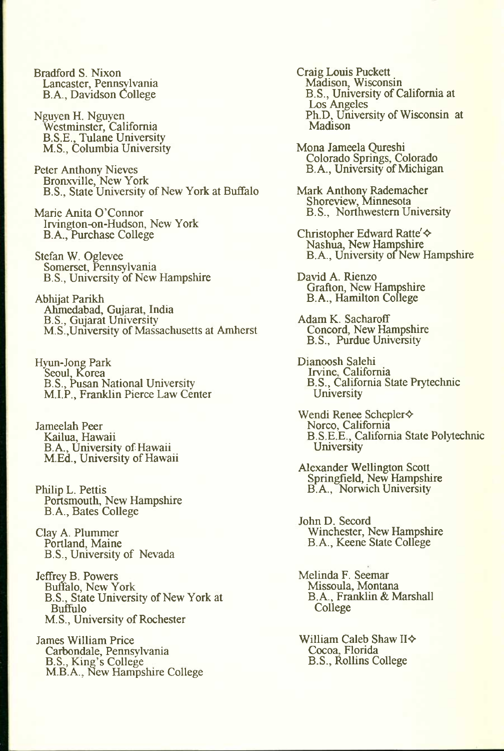Bradford S. Nixon Lancaster, Pennsylvania B.A., Davidson College

Nguyen H. Nguyen Westminster, California B.S.E., Tulane University M.S., Columbia University

Peter Anthony Nieves Bronxville, New York B.S., State University of New York at Buffalo

Marie Anita O'Cormor Irvington-on-Hudson, New York B.A., Purchase College

Stefan W. Oglevee Somerset, Pennsylvania B.S., University of New Hampshire

Abhijat Parikh Ahmedabad, Gujarat, India B.S., Gujarat University M.S.,Umversity of Massachusetts at Amherst

Hyun-Jong Park Seoul, Korea B.S., Pusan National University M.I.P., Franklin Pierce Law Center

Jameelah Peer Kailua, Hawaii B.A., University of Hawaii M.Ed., University of Hawaii

Philip L. Pettis Portsmouth, New Hampshire B.A., Bates College

Clay A. Plummer Portland, Maine B.S., University of Nevada

Jeffrey B. Powers Buffalo, New York B.S., State University of New York at Buffulo M.S., University of Rochester

James William Price Carbondale, Pennsylvania B.S., King's College M.B.A., New Hampshire College Craig Louis Puckett Madison, Wisconsin B.S., University of California at Los Angeles Ph.D, University of Wisconsin at Madison

Mona Jameela Qureshi Colorado Springs, Colorado B.A., University of Michigan

Mark Anthony Rademacher Shoreview, Minnesota B.S., Northwestern University

Christopher Edward Ratte' $\diamond$ Nashua, New Hampshire B.A., University of New Hampshire

David A. Rienzo Grafton, New Hampshire B.A., Hamilton College

Adam K. Sacharoff Concord, New Hampshire B.S., Purdue University

Dianoosh Salehi Irvine, California B.S., California State Prytechnic **University** 

Wendi Renee Schepler $\diamond$ Norco, California B.S.E.E., California State Polytechnic University

Alexander Wellington Scott Springfield, New Hampshire B.A., Norwich University

John D. Secord Winchester, New Hampshire B.A., Keene State College

Melinda F. Seemar Missoula, Montana B.A., Franklin & Marshall College

William Caleb Shaw II $\diamond$ Cocoa, Florida B.S., Rollins College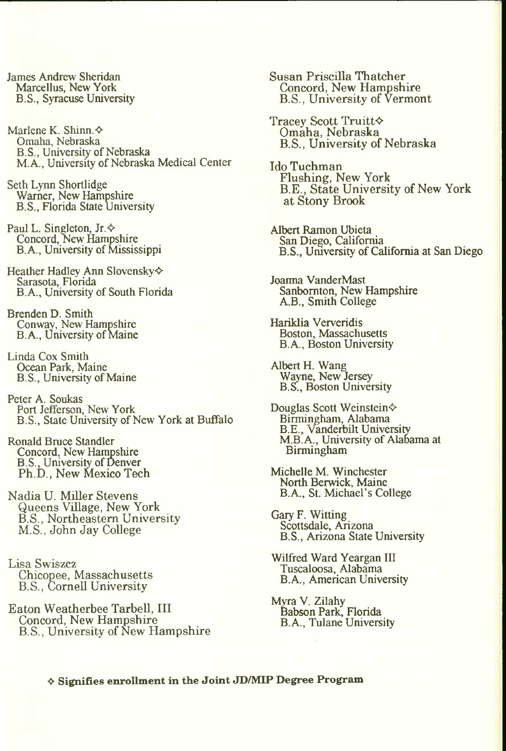James Andrew Sheridan Marcellus, New York B.S., Syracuse University

Marlene K. Shinn. $\diamond$ Omaha, Nebraska B.S., University of Nebraska MA., University of Nebraska Medical Center

Seth Lynn Shortlidge Warner, New Hampshire B.S., Florida State University

Paul L. Singleton,  $Jr.$ Concord, New Hampshire B.A., University of Mississippi

Heather Hadley Ann Slovensky $\diamond$ Sarasota, Florida B. A., Umversity of South Florida

Brenden D. Smith Conway, New Hampshire B.A., University of Maine

Linda Cox Smith Ocean Park, Maine B.S., University of Maine

Peter A. Soukas Port Jefferson, New York B.S., State University of New York at Buffalo

Ronald Bruce Standler Concord, New Hampshire B.S., University of Denver Ph.D., New Mexico Tech

Nadia U. Miller Stevens Queens Village, New York B.S., Northeastern University M.S., John Jay College

Lisa Swiszcz Chicopee, Massachusetts B.S., Cornell University

Eaton Weatherbee TarbeU, III Concord, New Hampshire B.S., University of New Hampshire Susan Priscilla Thatcher Concord, New Hampshire B.S., University of Vermont

Tracey Scott Truitt $\diamond$ Omaha, Nebraska B.S., University of Nebraska

Ido Tuchman Flushing, New York B.E., State University of New York at Stony Brook

Albert Ramon Ubieta San Diego, California B.S., Umversity of California at San Diego

Joanna VanderMast Sanbomton, New Hampshire A.B., Smith College

Hariklia Ververidis Boston, Massachusetts B.A., Boston University

Albert H. Wang Wayne, New Jersey B.S., Boston University

Douglas Scott Weinstein $\diamond$ Birmingham, Alabama B.E., Vanderbilt University M.B. A., University of Alabama at Birmingham

Michelle M. Winchester North Berwick, Maine B.A., St. Michael's College

Gary F. Witting Scottsdale, Arizona B.S., Arizona State University

Wilfred Ward Yeargan III Tuscaloosa, Alabama B.A., American University

Mwa V. Zilahy Babson Park, Florida B.A., Tulane University

**• Signifies enrollment in the Joint JD/MIP Degree Program**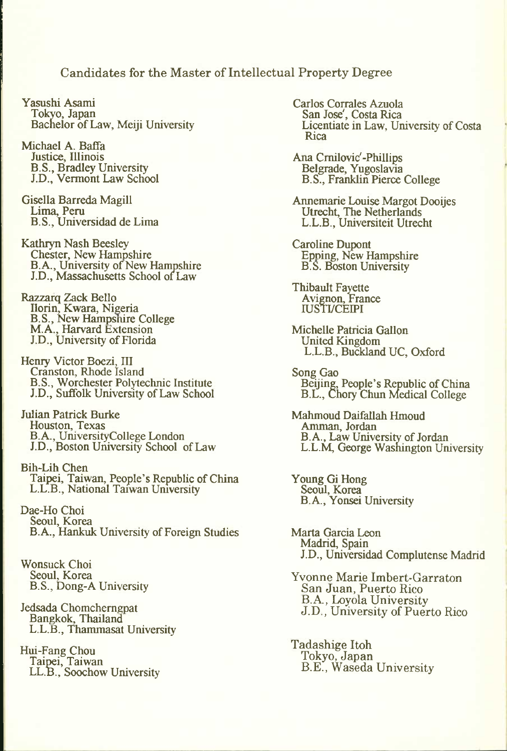Candidates for the Master of Intellectual Property Degree

Yasushi Asami Tokyo, Japan Bachelor of Law, Meiji University

Michael A. Baffa Justice, Illinois B.S., Bradley University J.D., Vermont Law School

Gisella Barreda Magill Lima, Peru B.S., Universidad de Lima

Kathryn Nash Beesley Chester, New Hampshire B.A., University of New Hampshire J.D., Massachusetts School of^Law

Razzarq Zack Bello Ilorin, Kwara, Nigeria B.S., New Hampshire College M.A., Harvard Extension J.D., University of Florida

Henry Victor Boezi, III Cranston, Rhode Island B.S., Worchester Polytechnic Institute J.D., Suffolk University of Law School

Julian Patrick Burke Houston, Texas B.A., UniversityCollege London J.D., Boston University School of Law

Bih-Lih Chen Taipei, Taiwan, People's Republic of China L.L.B., National Taiwan University

Dae-Ho Choi Seoul, Korea B.A., Hankuk University of Foreign Studies

Wonsuck Choi Seoul, Korea B.S., Dong-A University

Jedsada Chomcherngpat Bangkok, Thailand L.L.B., Thammasat University

Hui-Fang Chou<br>Taipei, Taiwan LL.B., Soochow University Carlos Corrales Azuola San Jose', Costa Rica Licentiate in Law, University of Costa Rica

Ana Cmilovic'-Phillips Belgrade, Yugoslavia B.S., Franklin Pierce College

Annemarie Louise Margot Dooijes Utrecht, The Netherlands L.L.B., Universiteit Utrecht

Caroline Dupont Epning, New Hampshire B.S. Boston University

Thibault Fayette Avignon, France **IUSTI/CEIPI** 

Michelle Patricia Gallon United Kingdom L.L.B., Buckland UC, Oxford

Song Gao Beijing, People's Republic of China B.L., Chory Chun Medical College

Mahmoud Daifallah Hmoud Amman, Jordan B.A., Law University of Jordan L.L.M. George Washington University

Young Gi Hong Seoul, Korea B.A., Yonsei University

Marta Garcia Leon Madrid, Spain J.D., Universidad Complutense Madrid

Yvonne Marie Imbert-Garraton San Juan, Puerto Rico B.A., Loyola University J.D., University of Puerto Rico

Tadashige Itoh Tokyo, Japan B.E., Waseda University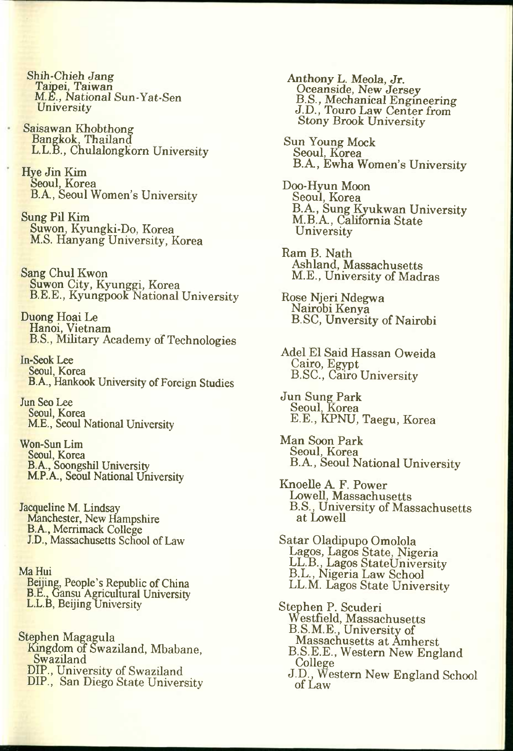Shih-Chieh Jang Taipei, Taiwan M.E., *National* Sun-Yat-Sen **University** 

- Saisawan Khobthong Bangkok, Thailand L.L.B., Chulalongkorn University
- Hye Jin Kim Seoul, Korea B.A, Seoul Women's University
- Sung Pil Kim Suwon, Kyungki-Do, Korea M.S. Hanyang University, Korea
- Sang Chul Kwon Suwon City, Kyunggi, Korea B.E.E., Kyungpook National University

Duong Hoai Le Hanoi, Vietnam B.S., Mihtary Academy of Technologies

In-Seok Lee Seoul, Korea B.A., Hankook University of Foreign Studies

Jun Seo Lee Seoul, Korea M.E., Seoul National University

Won-Sun Lim Seoul, Korea B.A., Soongshil University M.P.A., Seoul National University

- Jacqueline M. Lindsay Manchester, New Hampshire B.A., Merrimack College J.D., Massachusetts School of Law
- Ma Hui Beijing, People's Republic of China B.E., Gansu Agricultural University L.L.B, Beijing University
- Stephen Magagula Kingdom of Swaziland, Mbabane, Swaziland DIP., University of Swaziland
	- DIP., San Diego State University

Anthony L. Meola, Jr. Oceanside, New Jersey B.S., Mechanical Engineering J.D., Touro Law Center from Stony Brook University

- Sun Young Mock Seoul, Korea B.A, Ewha Women's University
- Doo-Hyun Moon Seoul, Korea B.A., Sung Kyukwan University M.B.A, California State **University**
- Ram B. Nath Ashland, Massachusetts M.E., University of Madras
- Rose Njeri Ndegwa Nairobi Kenya B.SC, Unversity of Nairobi
- Adel El Said Hassan Oweida Cairo, Egypt B.SC., Cairo University
- Jun Sung Park Seoul, Korea E.E., KPNU, Taegu, Korea
- Man Soon Park Seoul, Korea B.A, Seoul National University
- Knoelle A F. Power Lowell, Massachusetts B.S., University of Massachusetts at LoweU
- Satar Oladipupo Omolola Lagos, Lagos State, Nigeria LL.B., Lagos StateUniversity B.L., Nigeria Law School LL.M. Lagos State University
- Stephen P. Scuderi Westfield, Massachusetts B.S.M.E., University of Massachusetts at Amherst B.S.E.E., Western New England CoUege
	- J.D., Western New England School of Law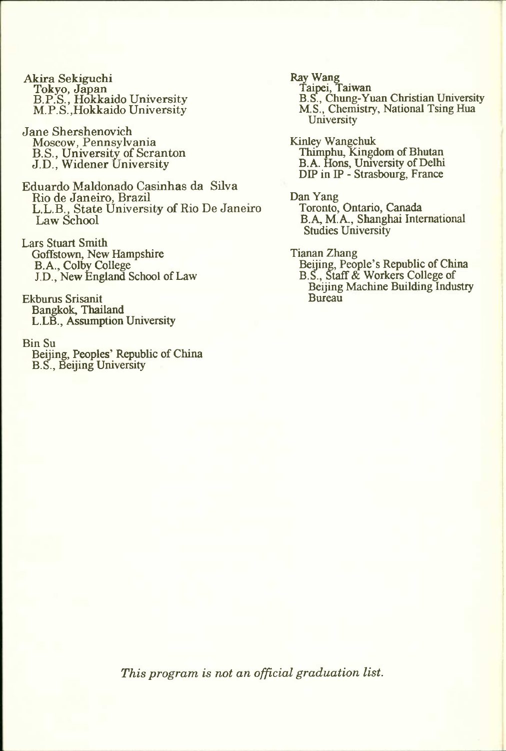- Akira Sekiguchi Tokyo, Japan B.P.S., Hokkaido University M.P.S.,Hokkaido University
- Jane Shershenovich Moscow, Pennsylvania B.S., University of Scranton J.D., Widener University
- Eduardo Maldonado Casinhas da Silva Rio de Janeiro, Brazil L.L.B., State University of Rio De Janeiro Law School
- Lars Stuart Smith Goffstown, New Hampshire B.A., Colby College J.D., New England School of Law
- Ekburus Srisanit Bangkok, Thailand L.LB., Assumption University

#### Bin Su

Beijing, Peoples' Republic of China B.S., Beijing University

- Ray Wang Taipei, Taiwan B.S., Chung-Yuan Christian University M.S., Chemistry, National Tsing Hua **University**
- Kinley Wangchuk Thimphu, Kingdom of Bhutan B.A. Hons, Umversity of Delhi DIP in IP - Strasbourg, France
- Dan Yang Toronto, Ontario, Canada B.A, M.A., Shanghai International Studies University
- Tianan Zhang Beijing, People's Republic of China B.S., Staff & Workers College of Beijing Machine Building Industry Bureau

*This program is not an official graduation list.*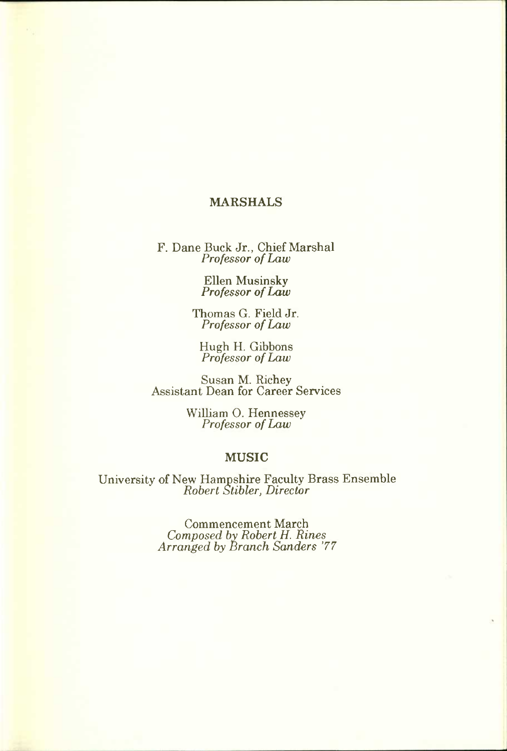#### MARSHALS

F. Dane Buck Jr., Chief Marshal *Professor of Law* 

> Ellen Musinsky *Pro fessor of Law*

Thomas G. Field Jr. *Professor of Law* 

Hugh H. Gibbons *Professor of Law* 

Susan M. Richey Assistant Dean for Career Services

> William O. Hennessey *Professor of Law*

#### MUSIC

University of New Hampshire Faculty Brass Ensemble *Robert Stibler, Director* 

> Commencement March *Composed by Robert H. Rines Arranged by Branch Sanders '77*